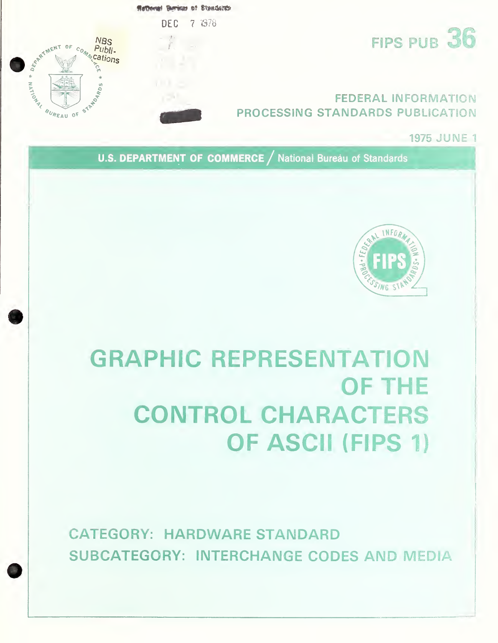

**1975 JUNE 1** 

U.S. DEPARTMENT OF COMMERCE / National Bureau of Standards



# **GRAPHIC REPRESENTATION OF THE CONTROL CHARACTERS OF ASCII (FIPS 1)**

**CATEGORY: HARDWARE STANDARD SUBCATEGORY: INTERCHANGE CODES AND MEDIA**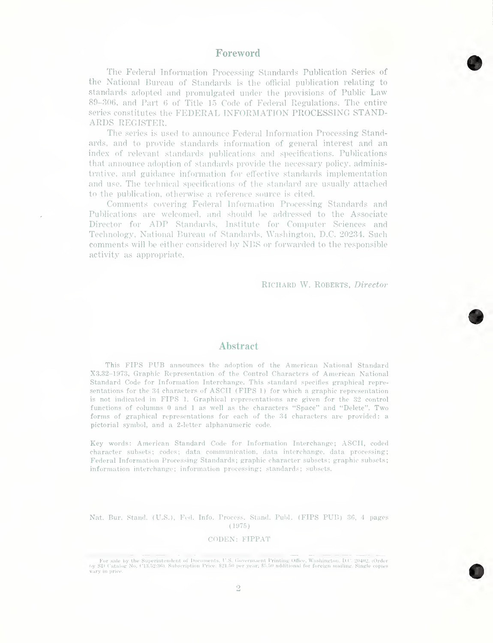### Foreword

The Federal Information Processing Standards Publication Series of the National Bureau of Standards is the official publication relating to standards adopted and promulgated under the provisions of Public Law 89-306, and Part 6 of Title 15 Code of Federal Regulations. The entire series constitutes the FEDERAL INFORMATION PROCESSING STAND-ARDS REGISTER.

The series is used to announce Federal Information Processing Standards, and to provide standards information of general interest and an index of relevant standards publications and specifications. Publications that announce adoption of standards provide the necessary policy, administrative, and guidance information for effective standards implementation and use. The technical specifications of the standard are usually attached to the publication, otherwise a reference source is cited.

Comments covering Federal Information Processing Standards and Publications are welcomed, and should be addressed to the Associate Director for ADP Standards, Institute for Computer Sciences and Technology, National Bureau of Standards, Washington, D.C. 20234. Such comments will be either considered by NBS or forwarded to the responsible activity as appropriate.

Richard W. Roberts, Director

## Abstract

This FIPS PUB announces the adoption of the American National Standard X3.32-1973, Graphic Representation of the Control Characters of American National Standard Code for Information Interchange. This standard specifies graphical representations for the 34 characters of ASCII (FIPS 1) for which a graphic representation is not indicated in FIPS 1. Graphical representations are given for the 32 control functions of columns 0 and <sup>1</sup> as well as the characters "Space" and "Delete". Two forms of graphical representations for each of the 34 characters are provided: a pictorial symbol, and a 2-letter alphanumeric code.

Key words: American Standard Code for Information Interchange; ASCII, coded character subsets; codes; data communication, data interchange, data processing; Federal Information Processing Standards; graphic character subsets; graphic subsets; information interchange; information processing; standards; subsets.

Nat. Bur. Stand. (U.S.), Fed. Info. Process. Stand. Publ. (FIPS PUB) 36, 4 pages (1975)

#### CODEN: FIPPAT

For sale by the Superintendent of Documents, U.S. Government Printing Office, Washington, D.C. 20402. (Order by SD Catalog No. C13.52:36). Subscription Price: \$21.50 per year; \$5.50 additional for foreign mailing. Single c vary in price.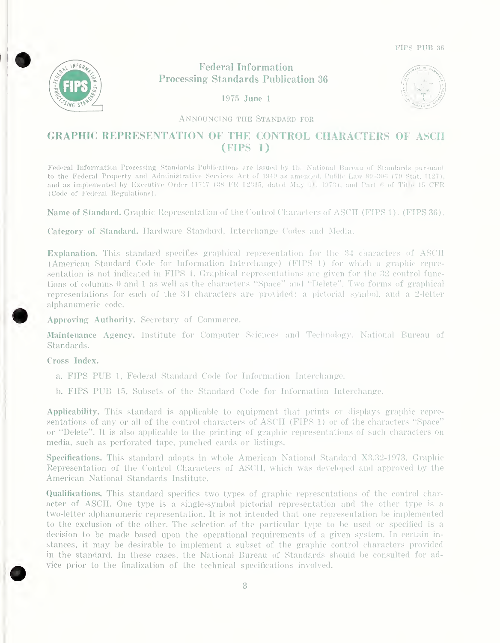

# Federal Information Processing- Standards Publication 36





Announcing the Standard for

# GRAPHIC REPRESENTATION OF THE CONTROL CHARACTERS OF ASCII (FIPS 1)

Federal Information Processing Standards Publications are issued by the National Bureau of Standards pursuant to the Federal Property and Administrative Services Act of 1949 as amended, Public Law 89-306 (79 Stat. 1127), and as implemented by Executive Order 11717 (38 FR 12315, dated May 1), 1973), and Part 6 of Title 15 CFR (Code of Federal Regulations).

Name of Standard. Graphic Representation of the Control Characters of ASCII (FIPS 1). (FIPS 36).

Category of Standard. Hardware Standard, Interchange Codes and Media.

Explanation. This standard specifies graphical representation for the 34 characters of ASCII (American Standard Code for Information Interchange) (FIPS 1) for which a graphic repre sentation is not indicated in FIPS 1. Graphical representations are given for the 32 control functions of columns 0 and <sup>1</sup> as well as the characters "Space" and "Delete". Two forms of graphical representations for each of the 34 characters are provided: a pictorial symbol, and a 2-letter alphanumeric code.

Approving Authority. Secretary of Commerce.

Maintenance Agency. Institute for Computer Sciences and Technology, National Bureau of Standards.

Cross Index.

- a. FIPS PUB 1, Federal Standard Code for Information Interchange.
- b. FIPS PUB 15, Subsets of the Standard Code for Information Interchange.

Applicability. This standard is applicable to equipment that prints or displays graphic representations of any or all of the control characters of ASCII (FIPS 1) or of the characters "Space" or "Delete". It is also applicable to the printing of graphic representations of such characters on media, such as perforated tape, punched cards or listings.

Specifications. This standard adopts in whole American National Standard X3.32-1973, Graphic Representation of the Control Characters of ASCII, which was developed and approved by the American National Standards Institute.

Qualifications. This standard specifies two types of graphic representations of the control char acter of ASCII. One type is a single-symbol pictorial representation and the other type is a two-letter alphanumeric representation. It is not intended that one representation be implemented to the exclusion of the other. The selection of the particular type to be used or specified is a decision to be made based upon the operational requirements of a given system. In certain instances, it may be desirable to implement a subset of the graphic control characters provided in the standard. In these cases, the National Bureau of Standards should be consulted for advice prior to the finalization of the technical specifications involved.